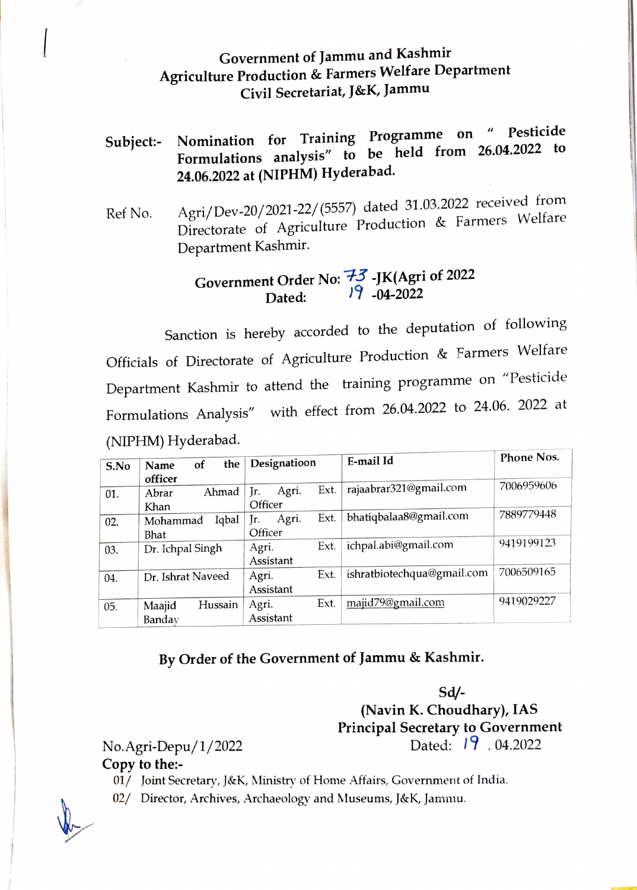### Government of Jammu and Kashmir Agriculture Production & Farmers Welfare Department Civil Secretariat, J&K, Jammu

## Subject:- Nomination for Training Programme on "Pesticide Formulations analysis" to be held from 26.04.2022 to 24.06.2022 at (NIPHM) Hyderabad.

Ref No. Agri/Dev-20/2021-22/ (5557) dated 31.03.2022 received from Directorate of Agriculture Production & Farmers Welfare Department Kashmir.

# Government Order No:  $\frac{73}{19}$ -JK(Agri of 2022<br>Dated:  $\frac{19}{19}$ -04-2022

Sanction is hereby accorded to the deputation of following Officials of Directorate of Agriculture Production & Farmers Welfare Department Kashmir to attend the training programme on "Pesticide Formulations Analysis" with effect from 26.04.2022 to 24.06. 2022 at (NIPHM) Hyderabad.

| S.No | the<br><sub>of</sub><br>Name | Designatioon         | E-mail Id                  | Phone Nos. |
|------|------------------------------|----------------------|----------------------------|------------|
|      | officer<br>Ahmad<br>Abrar    | Ext.<br>Agri.<br>Jr. | rajaabrar321@gmail.com     | 7006959606 |
| 01.  | Khan                         | Officer              |                            |            |
| 02.  | Iqbal<br>Mohammad            | Ext.<br>Agri.<br>Ir. | bhatiqbalaa8@gmail.com     | 7889779448 |
|      | Bhat                         | Officer              |                            |            |
| 03.  | Dr. Ichpal Singh             | Ext.<br>Agri.        | ichpal.abi@gmail.com       | 9419199123 |
|      |                              | Assistant            |                            |            |
| 04.  | Dr. Ishrat Naveed            | Ext.<br>Agri.        | ishratbiotechqua@gmail.com | 7006509165 |
|      |                              | Assistant            |                            |            |
| 05.  | Hussain<br>Maajid            | Ext.<br>Agri.        | majid79@gmail.com          | 9419029227 |
|      | Banday                       | Assistant            |                            |            |

### By Order of the Government of Jammu & Kashmir.

Sd/- (Navin K. Choudhary), IAS Principal Secretary to Government No.Agri-Depu/1/2022 Dated:  $19.04.2022$ 

#### Copy to the:

01/ Joint Secretary, J&K, Ministry of Home Affairs, Government of India.

02/ Director, Archives, Archaeology and Museums, J&K, Jammu.